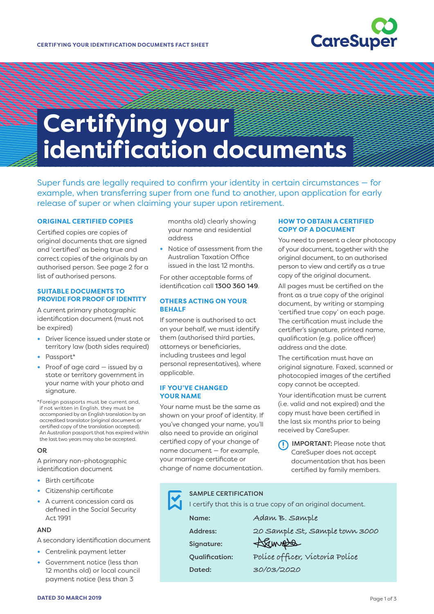

# **Certifying your identification documents**

Super funds are legally required to confirm your identity in certain circumstances — for example, when transferring super from one fund to another, upon application for early release of super or when claiming your super upon retirement.

#### **ORIGINAL CERTIFIED COPIES**

Certified copies are copies of original documents that are signed and 'certified' as being true and correct copies of the originals by an authorised person. See page 2 for a list of authorised persons.

### **SUITABLE DOCUMENTS TO PROVIDE FOR PROOF OF IDENTITY**

A current primary photographic identification document (must not be expired)

- **•** Driver licence issued under state or territory law (both sides required)
- **•** Passport\*
- **•** Proof of age card issued by a state or territory government in your name with your photo and signature.

\*Foreign passports must be current and, if not written in English, they must be accompanied by an English translation by an accredited translator (original document or certified copy of the translation accepted). An Australian passport that has expired within the last two years may also be accepted.

#### OR

A primary non-photographic identification document

- **•** Birth certificate
- **•** Citizenship certificate
- **•** A current concession card as defined in the Social Security Act 1991

# **AND**

A secondary identification document

- **•** Centrelink payment letter
- **•** Government notice (less than 12 months old) or local council payment notice (less than 3

months old) clearly showing your name and residential address

**•** Notice of assessment from the Australian Taxation Office issued in the last 12 months.

For other acceptable forms of identification call 1300 360 149.

# **OTHERS ACTING ON YOUR BEHALF**

If someone is authorised to act on your behalf, we must identify them (authorised third parties, attorneys or beneficiaries, including trustees and legal personal representatives), where applicable.

## **IF YOU'VE CHANGED YOUR NAME**

Your name must be the same as shown on your proof of identity. If you've changed your name, you'll also need to provide an original certified copy of your change of name document — for example, your marriage certificate or change of name documentation.

## **HOW TO OBTAIN A CERTIFIED COPY OF A DOCUMENT**

You need to present a clear photocopy of your document, together with the original document, to an authorised person to view and certify as a true copy of the original document.

All pages must be certified on the front as a true copy of the original document, by writing or stamping 'certified true copy' on each page. The certification must include the certifier's signature, printed name, qualification (e.g. police officer) address and the date.

The certification must have an original signature. Faxed, scanned or photocopied images of the certified copy cannot be accepted.

Your identification must be current (i.e. valid and not expired) and the copy must have been certified in the last six months prior to being received by CareSuper.

IMPORTANT: Please note that CareSuper does not accept documentation that has been certified by family members.

| <b>SAMPLE CERTIFICATION</b>                                 |                                 |
|-------------------------------------------------------------|---------------------------------|
| I certify that this is a true copy of an original document. |                                 |
| Name:                                                       | Adam B. Sample                  |
| <b>Address:</b>                                             | 20 Sample St, Sample town 3000  |
| Signature:                                                  | Sample                          |
| <b>Qualification:</b>                                       | Police officer, victoria Police |
| Dated:                                                      | 30/03/2020                      |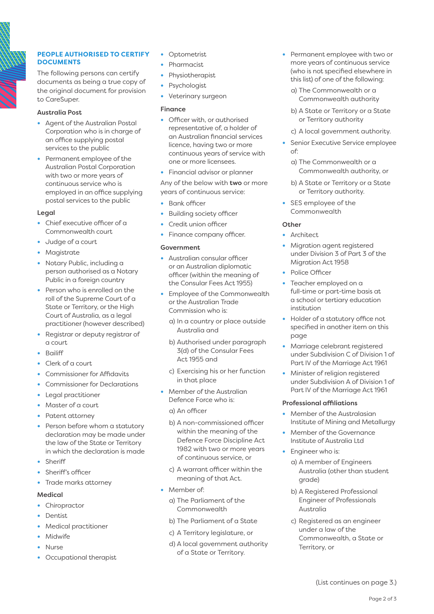

# **PEOPLE AUTHORISED TO CERTIFY DOCUMENTS**

The following persons can certify documents as being a true copy of the original document for provision to CareSuper.

## Australia Post

- **•** Agent of the Australian Postal Corporation who is in charge of an office supplying postal services to the public
- **•** Permanent employee of the Australian Postal Corporation with two or more years of continuous service who is employed in an office supplying postal services to the public

# Legal

- **•** Chief executive officer of a Commonwealth court
- **•** Judge of a court
- **•** Magistrate
- **•** Notary Public, including a person authorised as a Notary Public in a foreign country
- **•** Person who is enrolled on the roll of the Supreme Court of a State or Territory, or the High Court of Australia, as a legal practitioner (however described)
- **•** Registrar or deputy registrar of a court
- **•** Bailiff
- **•** Clerk of a court
- **•** Commissioner for Affidavits
- **•** Commissioner for Declarations
- **•** Legal practitioner
- **•** Master of a court
- **•** Patent attorney
- **•** Person before whom a statutory declaration may be made under the law of the State or Territory in which the declaration is made
- **•** Sheriff
- **•** Sheriff's officer
- **•** Trade marks attorney

# Medical

- **•** Chiropractor
- **•** Dentist
- **•** Medical practitioner
- **•** Midwife
- **•** Nurse
- **•** Occupational therapist
- **•** Optometrist
- **•** Pharmacist
- **•** Physiotherapist
- **•** Psychologist
- **•** Veterinary surgeon

# Finance

- **•** Officer with, or authorised representative of, a holder of an Australian financial services licence, having two or more continuous years of service with one or more licensees.
- **•** Financial advisor or planner

Any of the below with two or more years of continuous service:

- **•** Bank officer
- **•** Building society officer
- **•** Credit union officer
- **•** Finance company officer.

# Government

- **•** Australian consular officer or an Australian diplomatic officer (within the meaning of the Consular Fees Act 1955)
- **•** Employee of the Commonwealth or the Australian Trade Commission who is:
	- a) In a country or place outside Australia and
	- b) Authorised under paragraph 3(d) of the Consular Fees Act 1955 and
	- c) Exercising his or her function in that place
- **•** Member of the Australian Defence Force who is:
	- a) An officer
	- b) A non-commissioned officer within the meaning of the Defence Force Discipline Act 1982 with two or more years of continuous service, or
	- c) A warrant officer within the meaning of that Act.
- **•** Member of:
	- a) The Parliament of the Commonwealth
	- b) The Parliament of a State
	- c) A Territory legislature, or
	- d) A local government authority of a State or Territory.
- **•** Permanent employee with two or more years of continuous service (who is not specified elsewhere in this list) of one of the following:
	- a) The Commonwealth or a Commonwealth authority
	- b) A State or Territory or a State or Territory authority
	- c) A local government authority.
- **•** Senior Executive Service employee of:
	- a) The Commonwealth or a Commonwealth authority, or
	- b) A State or Territory or a State or Territory authority.
- **•** SES employee of the Commonwealth

# **Other**

- **•** Architect
- **•** Migration agent registered under Division 3 of Part 3 of the Migration Act 1958
- **•** Police Officer
- **•** Teacher employed on a full-time or part-time basis at a school or tertiary education institution
- **•** Holder of a statutory office not specified in another item on this page
- **•** Marriage celebrant registered under Subdivision C of Division 1 of Part IV of the Marriage Act 1961
- **•** Minister of religion registered under Subdivision A of Division 1 of Part IV of the Marriage Act 1961

## Professional affiliations

- **•** Member of the Australasian Institute of Mining and Metallurgy
- **•** Member of the Governance Institute of Australia Ltd
- **•** Engineer who is:
	- a) A member of Engineers Australia (other than student grade)
	- b) A Registered Professional Engineer of Professionals Australia
	- c) Registered as an engineer under a law of the Commonwealth, a State or Territory, or